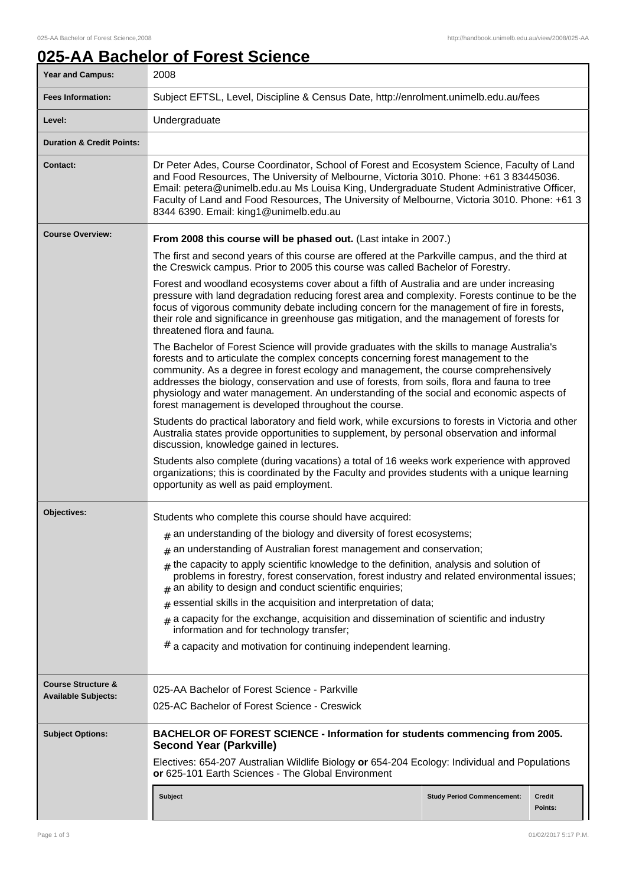ı

## **025-AA Bachelor of Forest Science**

| <b>Year and Campus:</b>                                     | 2008                                                                                                                                                                                                                                                                                                                                                                                                                                                                                                                        |
|-------------------------------------------------------------|-----------------------------------------------------------------------------------------------------------------------------------------------------------------------------------------------------------------------------------------------------------------------------------------------------------------------------------------------------------------------------------------------------------------------------------------------------------------------------------------------------------------------------|
| <b>Fees Information:</b>                                    | Subject EFTSL, Level, Discipline & Census Date, http://enrolment.unimelb.edu.au/fees                                                                                                                                                                                                                                                                                                                                                                                                                                        |
| Level:                                                      | Undergraduate                                                                                                                                                                                                                                                                                                                                                                                                                                                                                                               |
| <b>Duration &amp; Credit Points:</b>                        |                                                                                                                                                                                                                                                                                                                                                                                                                                                                                                                             |
| <b>Contact:</b>                                             | Dr Peter Ades, Course Coordinator, School of Forest and Ecosystem Science, Faculty of Land<br>and Food Resources, The University of Melbourne, Victoria 3010. Phone: +61 3 83445036.<br>Email: petera@unimelb.edu.au Ms Louisa King, Undergraduate Student Administrative Officer,<br>Faculty of Land and Food Resources, The University of Melbourne, Victoria 3010. Phone: +61 3<br>8344 6390. Email: king1@unimelb.edu.au                                                                                                |
| <b>Course Overview:</b>                                     | From 2008 this course will be phased out. (Last intake in 2007.)                                                                                                                                                                                                                                                                                                                                                                                                                                                            |
|                                                             | The first and second years of this course are offered at the Parkville campus, and the third at<br>the Creswick campus. Prior to 2005 this course was called Bachelor of Forestry.                                                                                                                                                                                                                                                                                                                                          |
|                                                             | Forest and woodland ecosystems cover about a fifth of Australia and are under increasing<br>pressure with land degradation reducing forest area and complexity. Forests continue to be the<br>focus of vigorous community debate including concern for the management of fire in forests,<br>their role and significance in greenhouse gas mitigation, and the management of forests for<br>threatened flora and fauna.                                                                                                     |
|                                                             | The Bachelor of Forest Science will provide graduates with the skills to manage Australia's<br>forests and to articulate the complex concepts concerning forest management to the<br>community. As a degree in forest ecology and management, the course comprehensively<br>addresses the biology, conservation and use of forests, from soils, flora and fauna to tree<br>physiology and water management. An understanding of the social and economic aspects of<br>forest management is developed throughout the course. |
|                                                             | Students do practical laboratory and field work, while excursions to forests in Victoria and other<br>Australia states provide opportunities to supplement, by personal observation and informal<br>discussion, knowledge gained in lectures.                                                                                                                                                                                                                                                                               |
|                                                             | Students also complete (during vacations) a total of 16 weeks work experience with approved<br>organizations; this is coordinated by the Faculty and provides students with a unique learning<br>opportunity as well as paid employment.                                                                                                                                                                                                                                                                                    |
| Objectives:                                                 | Students who complete this course should have acquired:                                                                                                                                                                                                                                                                                                                                                                                                                                                                     |
|                                                             | $#$ an understanding of the biology and diversity of forest ecosystems;                                                                                                                                                                                                                                                                                                                                                                                                                                                     |
|                                                             | $#$ an understanding of Australian forest management and conservation;                                                                                                                                                                                                                                                                                                                                                                                                                                                      |
|                                                             | $#$ the capacity to apply scientific knowledge to the definition, analysis and solution of<br>problems in forestry, forest conservation, forest industry and related environmental issues;<br>$#$ an ability to design and conduct scientific enquiries;                                                                                                                                                                                                                                                                    |
|                                                             | $#$ essential skills in the acquisition and interpretation of data;                                                                                                                                                                                                                                                                                                                                                                                                                                                         |
|                                                             | $*$ a capacity for the exchange, acquisition and dissemination of scientific and industry<br>information and for technology transfer;                                                                                                                                                                                                                                                                                                                                                                                       |
|                                                             | $#$ a capacity and motivation for continuing independent learning.                                                                                                                                                                                                                                                                                                                                                                                                                                                          |
| <b>Course Structure &amp;</b><br><b>Available Subjects:</b> | 025-AA Bachelor of Forest Science - Parkville                                                                                                                                                                                                                                                                                                                                                                                                                                                                               |
|                                                             | 025-AC Bachelor of Forest Science - Creswick                                                                                                                                                                                                                                                                                                                                                                                                                                                                                |
| <b>Subject Options:</b>                                     | <b>BACHELOR OF FOREST SCIENCE - Information for students commencing from 2005.</b><br><b>Second Year (Parkville)</b>                                                                                                                                                                                                                                                                                                                                                                                                        |
|                                                             | Electives: 654-207 Australian Wildlife Biology or 654-204 Ecology: Individual and Populations<br>or 625-101 Earth Sciences - The Global Environment                                                                                                                                                                                                                                                                                                                                                                         |
|                                                             | <b>Subject</b><br><b>Study Period Commencement:</b><br><b>Credit</b><br>Points:                                                                                                                                                                                                                                                                                                                                                                                                                                             |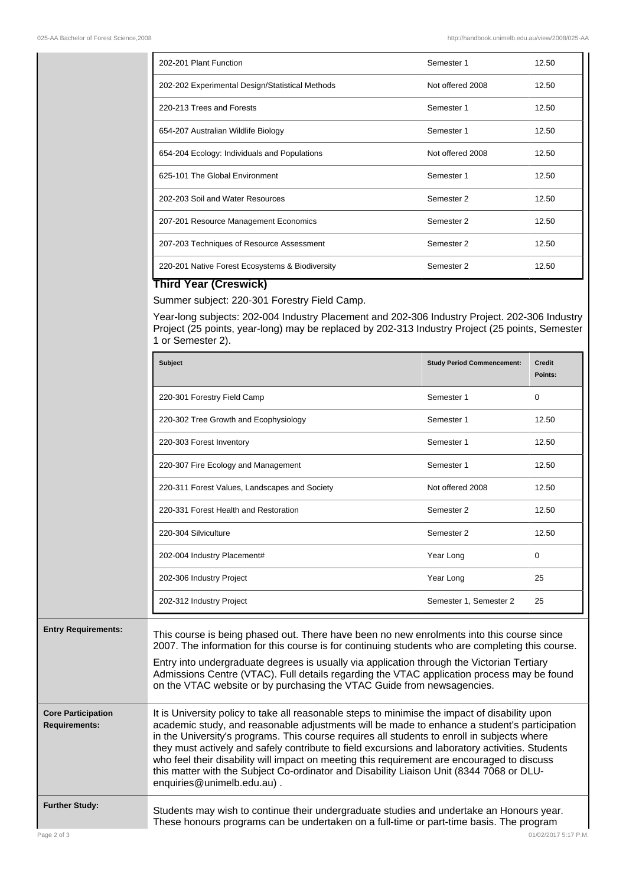| 202-201 Plant Function                          | Semester 1       | 12.50 |
|-------------------------------------------------|------------------|-------|
| 202-202 Experimental Design/Statistical Methods | Not offered 2008 | 12.50 |
| 220-213 Trees and Forests                       | Semester 1       | 12.50 |
| 654-207 Australian Wildlife Biology             | Semester 1       | 12.50 |
| 654-204 Ecology: Individuals and Populations    | Not offered 2008 | 12.50 |
| 625-101 The Global Environment                  | Semester 1       | 12.50 |
| 202-203 Soil and Water Resources                | Semester 2       | 12.50 |
| 207-201 Resource Management Economics           | Semester 2       | 12.50 |
| 207-203 Techniques of Resource Assessment       | Semester 2       | 12.50 |
| 220-201 Native Forest Ecosystems & Biodiversity | Semester 2       | 12.50 |

## **Third Year (Creswick)**

Summer subject: 220-301 Forestry Field Camp.

Year-long subjects: 202-004 Industry Placement and 202-306 Industry Project. 202-306 Industry Project (25 points, year-long) may be replaced by 202-313 Industry Project (25 points, Semester 1 or Semester 2).

|                                            | <b>Subject</b>                                                                                                                                                                                                                                                                                                                                                                                                                                                                                                                                                                                                             | <b>Study Period Commencement:</b> | <b>Credit</b><br>Points: |
|--------------------------------------------|----------------------------------------------------------------------------------------------------------------------------------------------------------------------------------------------------------------------------------------------------------------------------------------------------------------------------------------------------------------------------------------------------------------------------------------------------------------------------------------------------------------------------------------------------------------------------------------------------------------------------|-----------------------------------|--------------------------|
|                                            | 220-301 Forestry Field Camp                                                                                                                                                                                                                                                                                                                                                                                                                                                                                                                                                                                                | Semester 1                        | 0                        |
|                                            | 220-302 Tree Growth and Ecophysiology                                                                                                                                                                                                                                                                                                                                                                                                                                                                                                                                                                                      | Semester 1                        | 12.50                    |
|                                            | 220-303 Forest Inventory                                                                                                                                                                                                                                                                                                                                                                                                                                                                                                                                                                                                   | Semester 1                        | 12.50                    |
|                                            | 220-307 Fire Ecology and Management                                                                                                                                                                                                                                                                                                                                                                                                                                                                                                                                                                                        | Semester 1                        | 12.50                    |
|                                            | 220-311 Forest Values, Landscapes and Society                                                                                                                                                                                                                                                                                                                                                                                                                                                                                                                                                                              | Not offered 2008                  | 12.50                    |
|                                            | 220-331 Forest Health and Restoration                                                                                                                                                                                                                                                                                                                                                                                                                                                                                                                                                                                      | Semester 2                        | 12.50                    |
|                                            | 220-304 Silviculture                                                                                                                                                                                                                                                                                                                                                                                                                                                                                                                                                                                                       | Semester 2                        | 12.50                    |
|                                            | 202-004 Industry Placement#                                                                                                                                                                                                                                                                                                                                                                                                                                                                                                                                                                                                | Year Long                         | 0                        |
|                                            | 202-306 Industry Project                                                                                                                                                                                                                                                                                                                                                                                                                                                                                                                                                                                                   | Year Long                         | 25                       |
|                                            | 202-312 Industry Project                                                                                                                                                                                                                                                                                                                                                                                                                                                                                                                                                                                                   | Semester 1, Semester 2            | 25                       |
| <b>Entry Requirements:</b>                 | This course is being phased out. There have been no new enrolments into this course since<br>2007. The information for this course is for continuing students who are completing this course.<br>Entry into undergraduate degrees is usually via application through the Victorian Tertiary<br>Admissions Centre (VTAC). Full details regarding the VTAC application process may be found<br>on the VTAC website or by purchasing the VTAC Guide from newsagencies.                                                                                                                                                        |                                   |                          |
| <b>Core Participation</b><br>Requirements: | It is University policy to take all reasonable steps to minimise the impact of disability upon<br>academic study, and reasonable adjustments will be made to enhance a student's participation<br>in the University's programs. This course requires all students to enroll in subjects where<br>they must actively and safely contribute to field excursions and laboratory activities. Students<br>who feel their disability will impact on meeting this requirement are encouraged to discuss<br>this matter with the Subject Co-ordinator and Disability Liaison Unit (8344 7068 or DLU-<br>enquiries@unimelb.edu.au). |                                   |                          |
| <b>Further Study:</b>                      | Students may wish to continue their undergraduate studies and undertake an Honours year.<br>These honours programs can be undertaken on a full-time or part-time basis. The program                                                                                                                                                                                                                                                                                                                                                                                                                                        |                                   |                          |